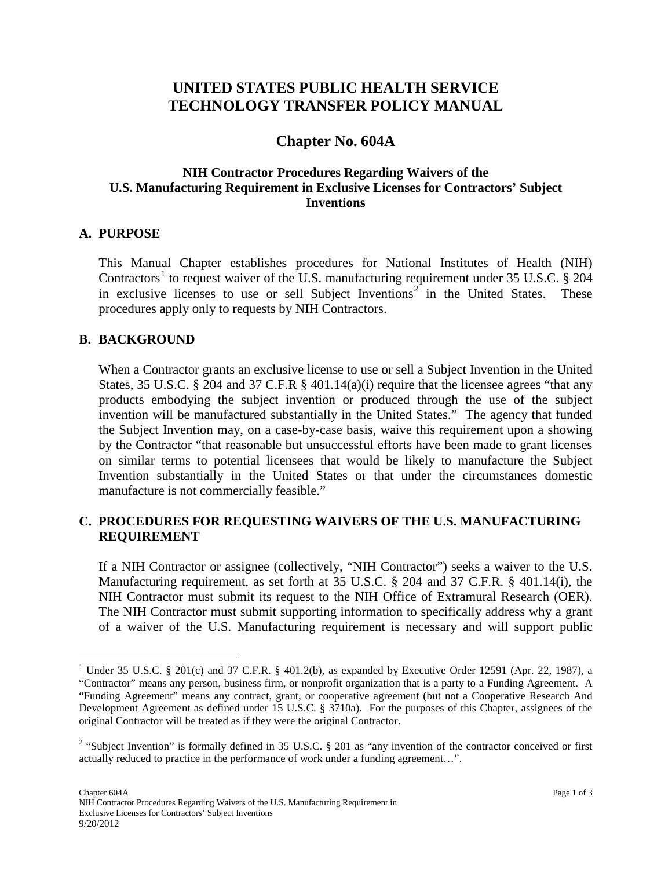# **UNITED STATES PUBLIC HEALTH SERVICE TECHNOLOGY TRANSFER POLICY MANUAL**

## **Chapter No. 604A**

## **NIH Contractor Procedures Regarding Waivers of the U.S. Manufacturing Requirement in Exclusive Licenses for Contractors' Subject Inventions**

#### **A. PURPOSE**

This Manual Chapter establishes procedures for National Institutes of Health (NIH) Contractors<sup>[1](#page-0-0)</sup> to request waiver of the U.S. manufacturing requirement under 35 U.S.C. § 204 in exclusive licenses to use or sell Subject Inventions<sup>[2](#page-0-1)</sup> in the United States. These procedures apply only to requests by NIH Contractors.

#### **B. BACKGROUND**

When a Contractor grants an exclusive license to use or sell a Subject Invention in the United States, 35 U.S.C. § 204 and 37 C.F.R § 401.14(a)(i) require that the licensee agrees "that any products embodying the subject invention or produced through the use of the subject invention will be manufactured substantially in the United States." The agency that funded the Subject Invention may, on a case-by-case basis, waive this requirement upon a showing by the Contractor "that reasonable but unsuccessful efforts have been made to grant licenses on similar terms to potential licensees that would be likely to manufacture the Subject Invention substantially in the United States or that under the circumstances domestic manufacture is not commercially feasible."

#### **C. PROCEDURES FOR REQUESTING WAIVERS OF THE U.S. MANUFACTURING REQUIREMENT**

If a NIH Contractor or assignee (collectively, "NIH Contractor") seeks a waiver to the U.S. Manufacturing requirement, as set forth at 35 U.S.C. § 204 and 37 C.F.R. § 401.14(i), the NIH Contractor must submit its request to the NIH Office of Extramural Research (OER). The NIH Contractor must submit supporting information to specifically address why a grant of a waiver of the U.S. Manufacturing requirement is necessary and will support public

<span id="page-0-0"></span><sup>&</sup>lt;sup>1</sup> Under 35 U.S.C. § 201(c) and 37 C.F.R. § 401.2(b), as expanded by Executive Order 12591 (Apr. 22, 1987), a "Contractor" means any person, business firm, or nonprofit organization that is a party to a Funding Agreement. A "Funding Agreement" means any contract, grant, or cooperative agreement (but not a Cooperative Research And Development Agreement as defined under 15 U.S.C. § 3710a). For the purposes of this Chapter, assignees of the original Contractor will be treated as if they were the original Contractor.

<span id="page-0-1"></span><sup>&</sup>lt;sup>2</sup> "Subject Invention" is formally defined in 35 U.S.C. § 201 as "any invention of the contractor conceived or first actually reduced to practice in the performance of work under a funding agreement…".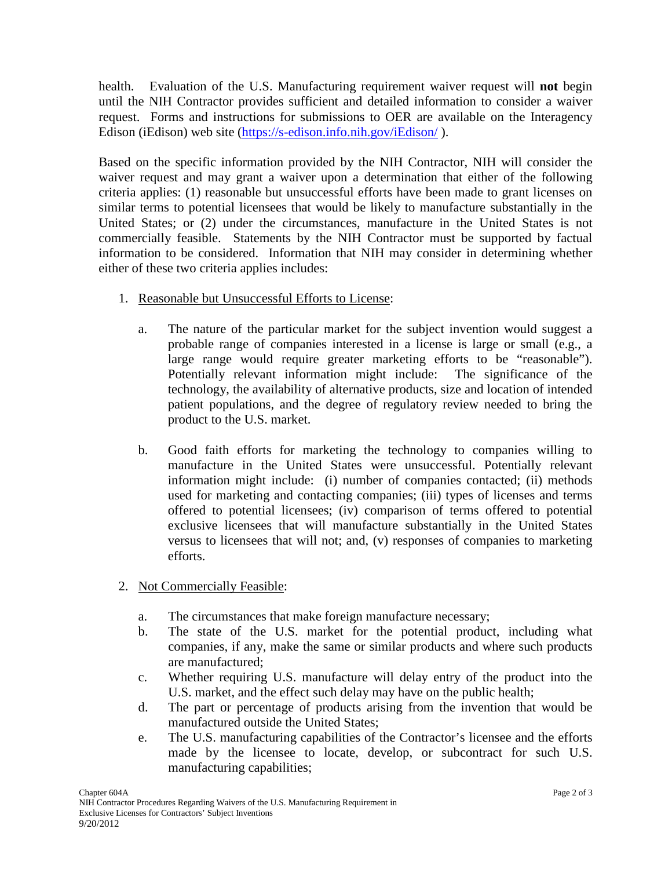health. Evaluation of the U.S. Manufacturing requirement waiver request will **not** begin until the NIH Contractor provides sufficient and detailed information to consider a waiver request. Forms and instructions for submissions to OER are available on the Interagency Edison (iEdison) web site [\(https://s-edison.info.nih.gov/iEdison/](https://s-edison.info.nih.gov/iEdison/) ).

Based on the specific information provided by the NIH Contractor, NIH will consider the waiver request and may grant a waiver upon a determination that either of the following criteria applies: (1) reasonable but unsuccessful efforts have been made to grant licenses on similar terms to potential licensees that would be likely to manufacture substantially in the United States; or (2) under the circumstances, manufacture in the United States is not commercially feasible. Statements by the NIH Contractor must be supported by factual information to be considered. Information that NIH may consider in determining whether either of these two criteria applies includes:

- 1. Reasonable but Unsuccessful Efforts to License:
	- a. The nature of the particular market for the subject invention would suggest a probable range of companies interested in a license is large or small (e.g., a large range would require greater marketing efforts to be "reasonable"). Potentially relevant information might include: The significance of the technology, the availability of alternative products, size and location of intended patient populations, and the degree of regulatory review needed to bring the product to the U.S. market.
	- b. Good faith efforts for marketing the technology to companies willing to manufacture in the United States were unsuccessful. Potentially relevant information might include: (i) number of companies contacted; (ii) methods used for marketing and contacting companies; (iii) types of licenses and terms offered to potential licensees; (iv) comparison of terms offered to potential exclusive licensees that will manufacture substantially in the United States versus to licensees that will not; and, (v) responses of companies to marketing efforts.
- 2. Not Commercially Feasible:
	- a. The circumstances that make foreign manufacture necessary;
	- b. The state of the U.S. market for the potential product, including what companies, if any, make the same or similar products and where such products are manufactured;
	- c. Whether requiring U.S. manufacture will delay entry of the product into the U.S. market, and the effect such delay may have on the public health;
	- d. The part or percentage of products arising from the invention that would be manufactured outside the United States;
	- e. The U.S. manufacturing capabilities of the Contractor's licensee and the efforts made by the licensee to locate, develop, or subcontract for such U.S. manufacturing capabilities;